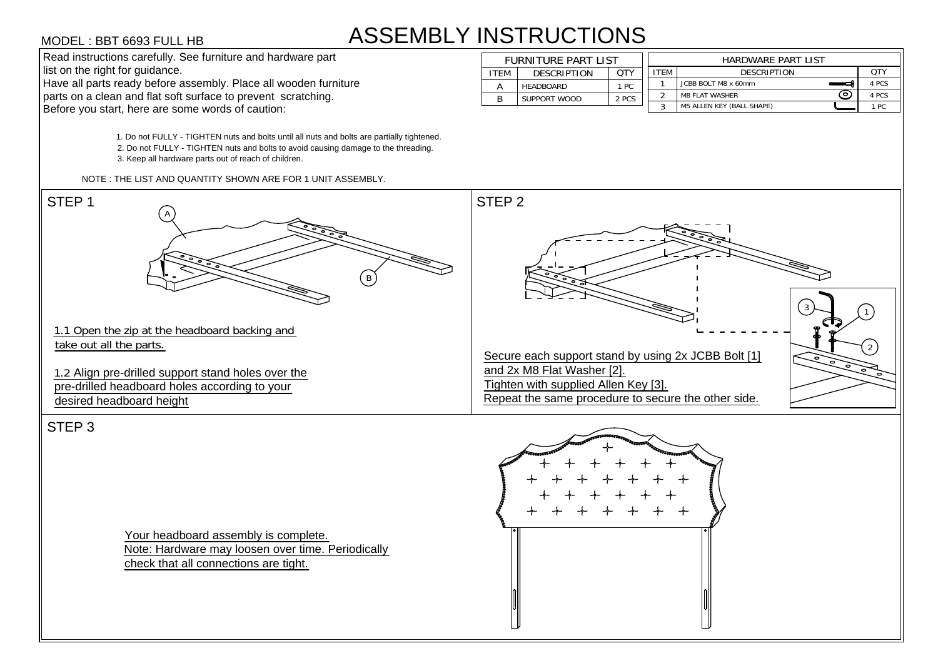# ASSEMBLY INSTRUCTIONS **STRUCTIONS**<br>FURNITURE PART LIST<br>ITEM DESCRIPTION QTY

2. Do not FULLY - TIGHTEN nuts and bolts to avoid causing damage to the threading.<br>3. Keep all hardware parts out of reach of children.<br>NOTE : THE LIST AND QUANTITY SHOWN ARE FOR 1 UNIT ASSEMBLY.<br>STEP 1

| <b>INSTRUCTIONS</b> |                            |                     |       |                           |                                         |       |  |  |  |  |  |
|---------------------|----------------------------|---------------------|-------|---------------------------|-----------------------------------------|-------|--|--|--|--|--|
|                     | <b>FURNITURE PART LIST</b> |                     |       | <b>HARDWARE PART LIST</b> |                                         |       |  |  |  |  |  |
|                     | <b>ITEM</b>                | <b>DESCRIPTION</b>  | OTY   | <b>ITEM</b>               | <b>DESCRIPTION</b>                      | QTY   |  |  |  |  |  |
|                     | A                          | <b>HEADBOARD</b>    | 1 PC  |                           | JCBB BOLT M8 x 60mm<br><b>SHOW SHOW</b> | 4 PCS |  |  |  |  |  |
|                     | B                          | <b>SUPPORT WOOD</b> | 2 PCS | ິ                         | ົ໐ັ<br><b>M8 FLAT WASHER</b>            | 4 PCS |  |  |  |  |  |
|                     |                            |                     |       | 3                         | <b>M5 ALLEN KEY (BALL SHAPE)</b>        | 1 PC  |  |  |  |  |  |

VODEL: HET GEST FOUR CHARGES FULL HET AND CUNTITIES AND CHARGES AND THE TRANSPORTED TO THE TRANSPORTED TO THE TRANSPORTED TO THE TRANSPORTED TO THE TRANSPORTED TO THE TRANSPORTED TO THE TRANSPORTED TO THE TRANSPORTED TO T MODEL: BBT 6693 FULL HB<br>
Sold intellection carolisis for the minimum and hardware intellection paint.<br>
The solid intellection carolisis for the minimum and hardware intellection paint.<br>
The solid intellection of the set o

Your headboard assembly is complete. Note: Hardware may loosen over time. Periodically